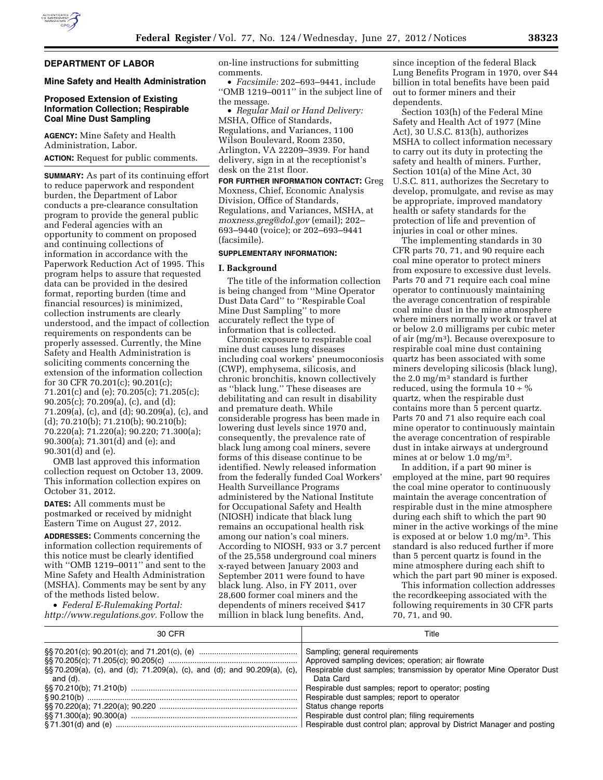

# **DEPARTMENT OF LABOR**

### **Mine Safety and Health Administration**

### **Proposed Extension of Existing Information Collection; Respirable Coal Mine Dust Sampling**

**AGENCY:** Mine Safety and Health Administration, Labor.

**ACTION:** Request for public comments.

**SUMMARY:** As part of its continuing effort to reduce paperwork and respondent burden, the Department of Labor conducts a pre-clearance consultation program to provide the general public and Federal agencies with an opportunity to comment on proposed and continuing collections of information in accordance with the Paperwork Reduction Act of 1995. This program helps to assure that requested data can be provided in the desired format, reporting burden (time and financial resources) is minimized, collection instruments are clearly understood, and the impact of collection requirements on respondents can be properly assessed. Currently, the Mine Safety and Health Administration is soliciting comments concerning the extension of the information collection for 30 CFR 70.201(c); 90.201(c); 71.201(c) and (e); 70.205(c); 71.205(c); 90.205(c); 70.209(a), (c), and (d); 71.209(a), (c), and (d); 90.209(a), (c), and (d); 70.210(b); 71.210(b); 90.210(b); 70.220(a); 71.220(a); 90.220; 71.300(a); 90.300(a); 71.301(d) and (e); and 90.301(d) and (e).

OMB last approved this information collection request on October 13, 2009. This information collection expires on October 31, 2012.

**DATES:** All comments must be postmarked or received by midnight Eastern Time on August 27, 2012.

**ADDRESSES:** Comments concerning the information collection requirements of this notice must be clearly identified with ''OMB 1219–0011'' and sent to the Mine Safety and Health Administration (MSHA). Comments may be sent by any of the methods listed below.

• *Federal E-Rulemaking Portal: [http://www.regulations.gov.](http://www.regulations.gov)* Follow the on-line instructions for submitting comments.

• *Facsimile:* 202–693–9441, include ''OMB 1219–0011'' in the subject line of the message.

• *Regular Mail or Hand Delivery:*  MSHA, Office of Standards, Regulations, and Variances, 1100 Wilson Boulevard, Room 2350, Arlington, VA 22209–3939. For hand delivery, sign in at the receptionist's desk on the 21st floor.

**FOR FURTHER INFORMATION CONTACT:** Greg Moxness, Chief, Economic Analysis Division, Office of Standards, Regulations, and Variances, MSHA, at *[moxness.greg@dol.gov](mailto:moxness.greg@dol.gov)* (email); 202– 693–9440 (voice); or 202–693–9441 (facsimile).

# **SUPPLEMENTARY INFORMATION:**

### **I. Background**

The title of the information collection is being changed from ''Mine Operator Dust Data Card'' to ''Respirable Coal Mine Dust Sampling'' to more accurately reflect the type of information that is collected.

Chronic exposure to respirable coal mine dust causes lung diseases including coal workers' pneumoconiosis (CWP), emphysema, silicosis, and chronic bronchitis, known collectively as ''black lung.'' These diseases are debilitating and can result in disability and premature death. While considerable progress has been made in lowering dust levels since 1970 and, consequently, the prevalence rate of black lung among coal miners, severe forms of this disease continue to be identified. Newly released information from the federally funded Coal Workers' Health Surveillance Programs administered by the National Institute for Occupational Safety and Health (NIOSH) indicate that black lung remains an occupational health risk among our nation's coal miners. According to NIOSH, 933 or 3.7 percent of the 25,558 underground coal miners x-rayed between January 2003 and September 2011 were found to have black lung. Also, in FY 2011, over 28,600 former coal miners and the dependents of miners received \$417 million in black lung benefits. And,

since inception of the federal Black Lung Benefits Program in 1970, over \$44 billion in total benefits have been paid out to former miners and their dependents.

Section 103(h) of the Federal Mine Safety and Health Act of 1977 (Mine Act), 30 U.S.C. 813(h), authorizes MSHA to collect information necessary to carry out its duty in protecting the safety and health of miners. Further, Section 101(a) of the Mine Act, 30 U.S.C. 811, authorizes the Secretary to develop, promulgate, and revise as may be appropriate, improved mandatory health or safety standards for the protection of life and prevention of injuries in coal or other mines.

The implementing standards in 30 CFR parts 70, 71, and 90 require each coal mine operator to protect miners from exposure to excessive dust levels. Parts 70 and 71 require each coal mine operator to continuously maintaining the average concentration of respirable coal mine dust in the mine atmosphere where miners normally work or travel at or below 2.0 milligrams per cubic meter of air (mg/m3). Because overexposure to respirable coal mine dust containing quartz has been associated with some miners developing silicosis (black lung), the 2.0 mg/m3 standard is further reduced, using the formula  $10 \div \%$ quartz, when the respirable dust contains more than 5 percent quartz. Parts 70 and 71 also require each coal mine operator to continuously maintain the average concentration of respirable dust in intake airways at underground mines at or below 1.0 mg/m3.

In addition, if a part 90 miner is employed at the mine, part 90 requires the coal mine operator to continuously maintain the average concentration of respirable dust in the mine atmosphere during each shift to which the part 90 miner in the active workings of the mine is exposed at or below 1.0 mg/m3. This standard is also reduced further if more than 5 percent quartz is found in the mine atmosphere during each shift to which the part part 90 miner is exposed.

This information collection addresses the recordkeeping associated with the following requirements in 30 CFR parts 70, 71, and 90.

| 30 CFR   | Title                                                                                                                                                                                                                                               |
|----------|-----------------------------------------------------------------------------------------------------------------------------------------------------------------------------------------------------------------------------------------------------|
| and (d). | Sampling; general requirements<br>Approved sampling devices; operation; air flowrate<br>§§70.209(a), (c), and (d); 71.209(a), (c), and (d); and 90.209(a), (c),   Respirable dust samples; transmission by operator Mine Operator Dust<br>Data Card |
|          | Respirable dust samples; report to operator; posting                                                                                                                                                                                                |
|          | Respirable dust samples; report to operator                                                                                                                                                                                                         |
|          | Status change reports                                                                                                                                                                                                                               |
|          | Respirable dust control plan; filing requirements                                                                                                                                                                                                   |
|          |                                                                                                                                                                                                                                                     |